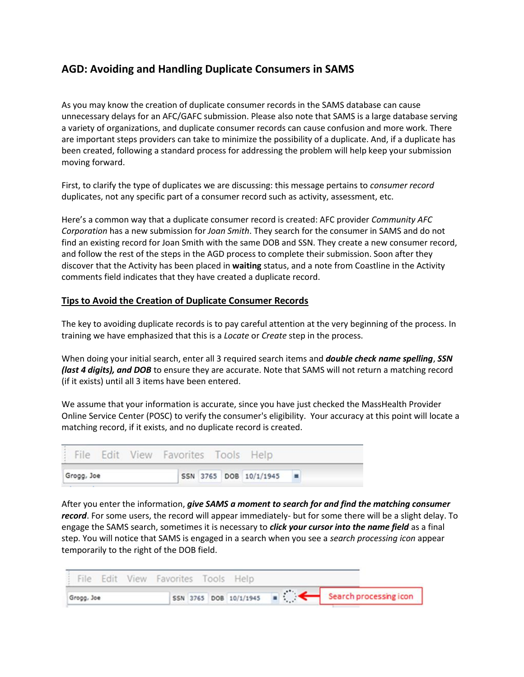## **AGD: Avoiding and Handling Duplicate Consumers in SAMS**

As you may know the creation of duplicate consumer records in the SAMS database can cause unnecessary delays for an AFC/GAFC submission. Please also note that SAMS is a large database serving a variety of organizations, and duplicate consumer records can cause confusion and more work. There are important steps providers can take to minimize the possibility of a duplicate. And, if a duplicate has been created, following a standard process for addressing the problem will help keep your submission moving forward.

First, to clarify the type of duplicates we are discussing: this message pertains to *consumer record* duplicates, not any specific part of a consumer record such as activity, assessment, etc.

Here's a common way that a duplicate consumer record is created: AFC provider *Community AFC Corporation* has a new submission for *Joan Smith*. They search for the consumer in SAMS and do not find an existing record for Joan Smith with the same DOB and SSN. They create a new consumer record, and follow the rest of the steps in the AGD process to complete their submission. Soon after they discover that the Activity has been placed in **waiting** status, and a note from Coastline in the Activity comments field indicates that they have created a duplicate record.

## **Tips to Avoid the Creation of Duplicate Consumer Records**

The key to avoiding duplicate records is to pay careful attention at the very beginning of the process. In training we have emphasized that this is a *Locate* or *Create* step in the process.

When doing your initial search, enter all 3 required search items and *double check name spelling*, *SSN (last 4 digits), and DOB* to ensure they are accurate. Note that SAMS will not return a matching record (if it exists) until all 3 items have been entered.

We assume that your information is accurate, since you have just checked the MassHealth Provider Online Service Center (POSC) to verify the consumer's eligibility. Your accuracy at this point will locate a matching record, if it exists, and no duplicate record is created.

|            | File Edit View Favorites Tools Help |  |  |  |                          |  |
|------------|-------------------------------------|--|--|--|--------------------------|--|
| Grogg, Joe |                                     |  |  |  | SSN 3765 DOB 10/1/1945 = |  |

After you enter the information, *give SAMS a moment to search for and find the matching consumer record*. For some users, the record will appear immediately- but for some there will be a slight delay. To engage the SAMS search, sometimes it is necessary to *click your cursor into the name field* as a final step. You will notice that SAMS is engaged in a search when you see a *search processing icon* appear temporarily to the right of the DOB field.

|            | : File Edit View Favorites Tools Help |  |  |  |                                                 |  |
|------------|---------------------------------------|--|--|--|-------------------------------------------------|--|
| Grogg, Joe |                                       |  |  |  | SEN 3765 DOB 10/1/1945 = Search processing icon |  |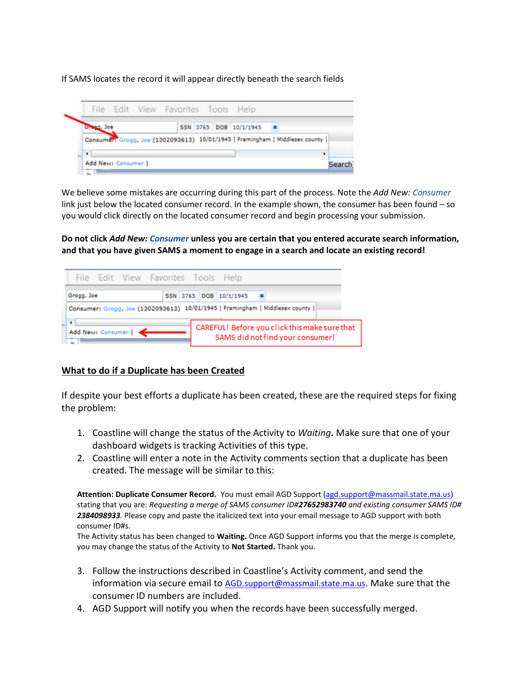If SAMS locates the record it will appear directly beneath the search fields



We believe some mistakes are occurring during this part of the process. Note the *Add New: Consumer* link just below the located consumer record. In the example shown, the consumer has been found – so you would click directly on the located consumer record and begin processing your submission.

**Do not click** *Add New: Consumer* **unless you are certain that you entered accurate search information, and that you have given SAMS a moment to engage in a search and locate an existing record!**



## **What to do if a Duplicate has been Created**

If despite your best efforts a duplicate has been created, these are the required steps for fixing the problem:

- 1. Coastline will change the status of the Activity to *Waiting***.** Make sure that one of your dashboard widgets is tracking Activities of this type.
- 2. Coastline will enter a note in the Activity comments section that a duplicate has been created. The message will be similar to this:

**Attention: Duplicate Consumer Record.** You must email AGD Support [\(agd.support@massmail.state.ma.us\)](mailto:agd.support@massmail.state.ma.us) stating that you are: *Requesting a merge of SAMS consumer ID#27652983740 and existing consumer SAMS ID# 2384098933.* Please copy and paste the italicized text into your email message to AGD support with both consumer ID#s.

The Activity status has been changed to **Waiting.** Once AGD Support informs you that the merge is complete, you may change the status of the Activity to **Not Started.** Thank you.

- 3. Follow the instructions described in Coastline's Activity comment, and send the information via secure email to [AGD.support@massmail.state.ma.us](mailto:AGD.support@massmail.state.ma.us). Make sure that the consumer ID numbers are included.
- 4. AGD Support will notify you when the records have been successfully merged.